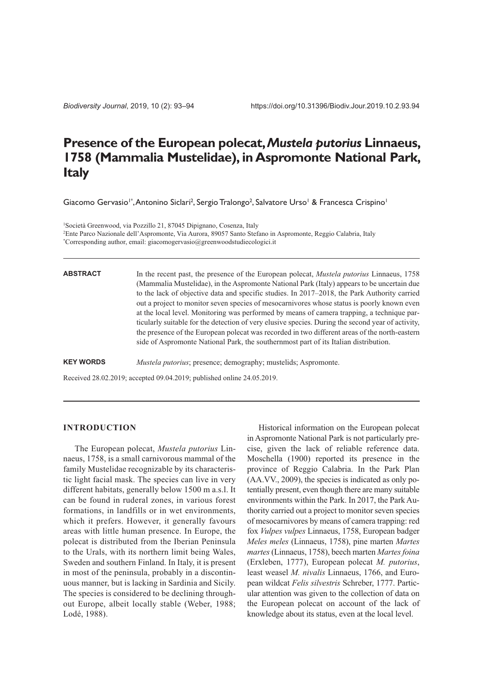*Biodiversity Journal*, 2019, 10 (2): 93–94

# **Presence of the European polecat,***Mustela putorius* **Linnaeus, 1758 (Mammalia Mustelidae), in Aspromonte National Park, Italy**

Giacomo Gervasio<sup>1\*</sup>, Antonino Siclari<sup>2</sup>, Sergio Tralongo<sup>2</sup>, Salvatore Urso<sup>1</sup> & Francesca Crispino<sup>1</sup>

1 Società Greenwood, via Pozzillo 21, 87045 Dipignano, Cosenza, Italy 2 Ente Parco Nazionale dell'Aspromonte, Via Aurora, 89057 Santo Stefano in Aspromonte, Reggio Calabria, Italy \* Corresponding author, email: giacomogervasio@greenwoodstudiecologici.it

**ABSTRACT**

In the recent past, the presence of the European polecat, *Mustela putorius* Linnaeus, 1758 (Mammalia Mustelidae), in the Aspromonte National Park (Italy) appears to be uncertain due to the lack of objective data and specific studies. In 2017–2018, the Park Authority carried out a project to monitor seven species of mesocarnivores whose status is poorly known even at the local level. Monitoring was performed by means of camera trapping, a technique particularly suitable for the detection of very elusive species. During the second year of activity, the presence of the European polecat was recorded in two different areas of the north-eastern side of Aspromonte National Park, the southernmost part of its Italian distribution.

**KEY WORDS** *Mustela putorius*; presence; demography; mustelids; Aspromonte.

Received 28.02.2019; accepted 09.04.2019; published online 24.05.2019.

#### **INTRODUCTION**

The European polecat, *Mustela putorius* Linnaeus, 1758, is a small carnivorous mammal of the family Mustelidae recognizable by its characteristic light facial mask. The species can live in very different habitats, generally below 1500 m a.s.l. It can be found in ruderal zones, in various forest formations, in landfills or in wet environments, which it prefers. However, it generally favours areas with little human presence. In Europe, the polecat is distributed from the Iberian Peninsula to the Urals, with its northern limit being Wales, Sweden and southern Finland. In Italy, it is present in most of the peninsula, probably in a discontinuous manner, but is lacking in Sardinia and Sicily. The species is considered to be declining throughout Europe, albeit locally stable (Weber, 1988; Lodé, 1988).

Historical information on the European polecat in Aspromonte National Park is not particularly precise, given the lack of reliable reference data. Moschella (1900) reported its presence in the province of Reggio Calabria. In the Park Plan (AA.VV., 2009), the species is indicated as only potentially present, even though there are many suitable environments within the Park. In 2017, the Park Authority carried out a project to monitor seven species of mesocarnivores by means of camera trapping: red fox *Vulpes vulpes* Linnaeus, 1758, European badger *Meles meles* (Linnaeus, 1758), pine marten *Martes martes*(Linnaeus, 1758), beech marten *Martesfoina* (Erxleben, 1777), European polecat *M. putorius*, least weasel *M. nivalis* Linnaeus, 1766, and European wildcat *Felis silvestris* Schreber, 1777. Particular attention was given to the collection of data on the European polecat on account of the lack of knowledge about its status, even at the local level.